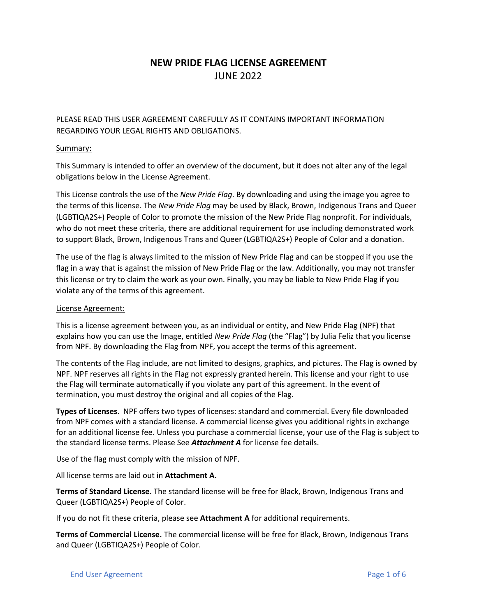## **NEW PRIDE FLAG LICENSE AGREEMENT** JUNE 2022

PLEASE READ THIS USER AGREEMENT CAREFULLY AS IT CONTAINS IMPORTANT INFORMATION REGARDING YOUR LEGAL RIGHTS AND OBLIGATIONS.

## Summary:

This Summary is intended to offer an overview of the document, but it does not alter any of the legal obligations below in the License Agreement.

This License controls the use of the *New Pride Flag*. By downloading and using the image you agree to the terms of this license. The *New Pride Flag* may be used by Black, Brown, Indigenous Trans and Queer (LGBTIQA2S+) People of Color to promote the mission of the New Pride Flag nonprofit. For individuals, who do not meet these criteria, there are additional requirement for use including demonstrated work to support Black, Brown, Indigenous Trans and Queer (LGBTIQA2S+) People of Color and a donation.

The use of the flag is always limited to the mission of New Pride Flag and can be stopped if you use the flag in a way that is against the mission of New Pride Flag or the law. Additionally, you may not transfer this license or try to claim the work as your own. Finally, you may be liable to New Pride Flag if you violate any of the terms of this agreement.

## License Agreement:

This is a license agreement between you, as an individual or entity, and New Pride Flag (NPF) that explains how you can use the Image, entitled *New Pride Flag* (the "Flag") by Julia Feliz that you license from NPF. By downloading the Flag from NPF, you accept the terms of this agreement.

The contents of the Flag include, are not limited to designs, graphics, and pictures. The Flag is owned by NPF. NPF reserves all rights in the Flag not expressly granted herein. This license and your right to use the Flag will terminate automatically if you violate any part of this agreement. In the event of termination, you must destroy the original and all copies of the Flag.

**Types of Licenses**. NPF offers two types of licenses: standard and commercial. Every file downloaded from NPF comes with a standard license. A commercial license gives you additional rights in exchange for an additional license fee. Unless you purchase a commercial license, your use of the Flag is subject to the standard license terms. Please See *Attachment A* for license fee details.

Use of the flag must comply with the mission of NPF.

All license terms are laid out in **Attachment A.** 

**Terms of Standard License.** The standard license will be free for Black, Brown, Indigenous Trans and Queer (LGBTIQA2S+) People of Color.

If you do not fit these criteria, please see **Attachment A** for additional requirements.

**Terms of Commercial License.** The commercial license will be free for Black, Brown, Indigenous Trans and Queer (LGBTIQA2S+) People of Color.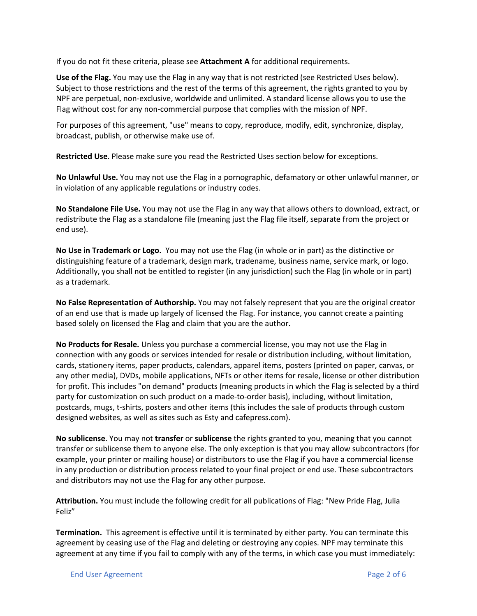If you do not fit these criteria, please see **Attachment A** for additional requirements.

**Use of the Flag.** You may use the Flag in any way that is not restricted (see Restricted Uses below). Subject to those restrictions and the rest of the terms of this agreement, the rights granted to you by NPF are perpetual, non-exclusive, worldwide and unlimited. A standard license allows you to use the Flag without cost for any non-commercial purpose that complies with the mission of NPF.

For purposes of this agreement, "use" means to copy, reproduce, modify, edit, synchronize, display, broadcast, publish, or otherwise make use of.

**Restricted Use**. Please make sure you read the Restricted Uses section below for exceptions.

**No Unlawful Use.** You may not use the Flag in a pornographic, defamatory or other unlawful manner, or in violation of any applicable regulations or industry codes.

**No Standalone File Use.** You may not use the Flag in any way that allows others to download, extract, or redistribute the Flag as a standalone file (meaning just the Flag file itself, separate from the project or end use).

**No Use in Trademark or Logo.** You may not use the Flag (in whole or in part) as the distinctive or distinguishing feature of a trademark, design mark, tradename, business name, service mark, or logo. Additionally, you shall not be entitled to register (in any jurisdiction) such the Flag (in whole or in part) as a trademark.

**No False Representation of Authorship.** You may not falsely represent that you are the original creator of an end use that is made up largely of licensed the Flag. For instance, you cannot create a painting based solely on licensed the Flag and claim that you are the author.

**No Products for Resale.** Unless you purchase a commercial license, you may not use the Flag in connection with any goods or services intended for resale or distribution including, without limitation, cards, stationery items, paper products, calendars, apparel items, posters (printed on paper, canvas, or any other media), DVDs, mobile applications, NFTs or other items for resale, license or other distribution for profit. This includes "on demand" products (meaning products in which the Flag is selected by a third party for customization on such product on a made-to-order basis), including, without limitation, postcards, mugs, t-shirts, posters and other items (this includes the sale of products through custom designed websites, as well as sites such as Esty and cafepress.com).

**No sublicense**. You may not **transfer** or **sublicense** the rights granted to you, meaning that you cannot transfer or sublicense them to anyone else. The only exception is that you may allow subcontractors (for example, your printer or mailing house) or distributors to use the Flag if you have a commercial license in any production or distribution process related to your final project or end use. These subcontractors and distributors may not use the Flag for any other purpose.

**Attribution.** You must include the following credit for all publications of Flag: "New Pride Flag, Julia Feliz"

**Termination.** This agreement is effective until it is terminated by either party. You can terminate this agreement by ceasing use of the Flag and deleting or destroying any copies. NPF may terminate this agreement at any time if you fail to comply with any of the terms, in which case you must immediately: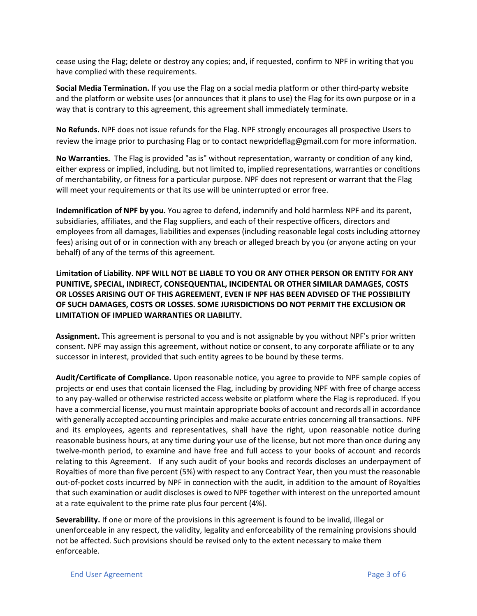cease using the Flag; delete or destroy any copies; and, if requested, confirm to NPF in writing that you have complied with these requirements.

**Social Media Termination.** If you use the Flag on a social media platform or other third-party website and the platform or website uses (or announces that it plans to use) the Flag for its own purpose or in a way that is contrary to this agreement, this agreement shall immediately terminate.

**No Refunds.** NPF does not issue refunds for the Flag. NPF strongly encourages all prospective Users to review the image prior to purchasing Flag or to contact newprideflag@gmail.com for more information.

**No Warranties.** The Flag is provided "as is" without representation, warranty or condition of any kind, either express or implied, including, but not limited to, implied representations, warranties or conditions of merchantability, or fitness for a particular purpose. NPF does not represent or warrant that the Flag will meet your requirements or that its use will be uninterrupted or error free.

**Indemnification of NPF by you.** You agree to defend, indemnify and hold harmless NPF and its parent, subsidiaries, affiliates, and the Flag suppliers, and each of their respective officers, directors and employees from all damages, liabilities and expenses (including reasonable legal costs including attorney fees) arising out of or in connection with any breach or alleged breach by you (or anyone acting on your behalf) of any of the terms of this agreement.

**Limitation of Liability. NPF WILL NOT BE LIABLE TO YOU OR ANY OTHER PERSON OR ENTITY FOR ANY PUNITIVE, SPECIAL, INDIRECT, CONSEQUENTIAL, INCIDENTAL OR OTHER SIMILAR DAMAGES, COSTS OR LOSSES ARISING OUT OF THIS AGREEMENT, EVEN IF NPF HAS BEEN ADVISED OF THE POSSIBILITY OF SUCH DAMAGES, COSTS OR LOSSES. SOME JURISDICTIONS DO NOT PERMIT THE EXCLUSION OR LIMITATION OF IMPLIED WARRANTIES OR LIABILITY.**

**Assignment.** This agreement is personal to you and is not assignable by you without NPF's prior written consent. NPF may assign this agreement, without notice or consent, to any corporate affiliate or to any successor in interest, provided that such entity agrees to be bound by these terms.

**Audit/Certificate of Compliance.** Upon reasonable notice, you agree to provide to NPF sample copies of projects or end uses that contain licensed the Flag, including by providing NPF with free of charge access to any pay-walled or otherwise restricted access website or platform where the Flag is reproduced. If you have a commercial license, you must maintain appropriate books of account and records all in accordance with generally accepted accounting principles and make accurate entries concerning all transactions. NPF and its employees, agents and representatives, shall have the right, upon reasonable notice during reasonable business hours, at any time during your use of the license, but not more than once during any twelve-month period, to examine and have free and full access to your books of account and records relating to this Agreement. If any such audit of your books and records discloses an underpayment of Royalties of more than five percent (5%) with respect to any Contract Year, then you must the reasonable out-of-pocket costs incurred by NPF in connection with the audit, in addition to the amount of Royalties that such examination or audit discloses is owed to NPF together with interest on the unreported amount at a rate equivalent to the prime rate plus four percent (4%).

**Severability.** If one or more of the provisions in this agreement is found to be invalid, illegal or unenforceable in any respect, the validity, legality and enforceability of the remaining provisions should not be affected. Such provisions should be revised only to the extent necessary to make them enforceable.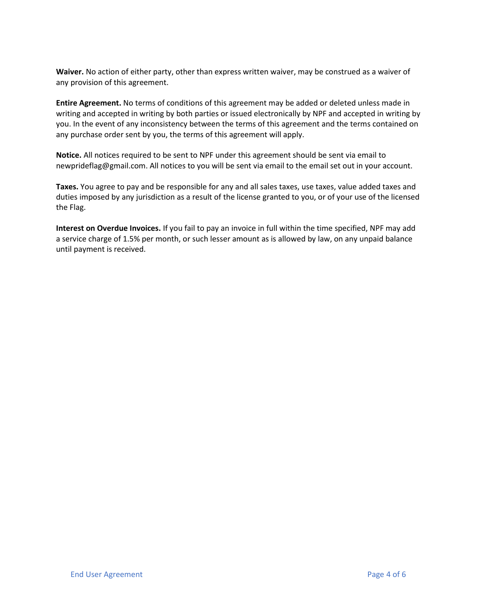**Waiver.** No action of either party, other than express written waiver, may be construed as a waiver of any provision of this agreement.

**Entire Agreement.** No terms of conditions of this agreement may be added or deleted unless made in writing and accepted in writing by both parties or issued electronically by NPF and accepted in writing by you. In the event of any inconsistency between the terms of this agreement and the terms contained on any purchase order sent by you, the terms of this agreement will apply.

**Notice.** All notices required to be sent to NPF under this agreement should be sent via email to newprideflag@gmail.com. All notices to you will be sent via email to the email set out in your account.

**Taxes.** You agree to pay and be responsible for any and all sales taxes, use taxes, value added taxes and duties imposed by any jurisdiction as a result of the license granted to you, or of your use of the licensed the Flag.

**Interest on Overdue Invoices.** If you fail to pay an invoice in full within the time specified, NPF may add a service charge of 1.5% per month, or such lesser amount as is allowed by law, on any unpaid balance until payment is received.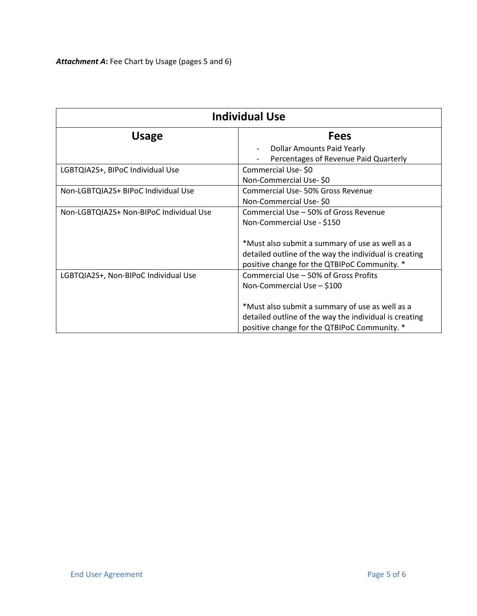| <b>Individual Use</b>                   |                                                        |
|-----------------------------------------|--------------------------------------------------------|
| <b>Usage</b>                            | <b>Fees</b>                                            |
|                                         | <b>Dollar Amounts Paid Yearly</b>                      |
|                                         | Percentages of Revenue Paid Quarterly                  |
| LGBTQIA2S+, BIPoC Individual Use        | Commercial Use-\$0                                     |
|                                         | Non-Commercial Use-\$0                                 |
| Non-LGBTQIA2S+ BIPoC Individual Use     | Commercial Use-50% Gross Revenue                       |
|                                         | Non-Commercial Use-\$0                                 |
| Non-LGBTQIA2S+ Non-BIPoC Individual Use | Commercial Use - 50% of Gross Revenue                  |
|                                         | Non-Commercial Use - \$150                             |
|                                         |                                                        |
|                                         | *Must also submit a summary of use as well as a        |
|                                         | detailed outline of the way the individual is creating |
|                                         | positive change for the QTBIPoC Community. *           |
| LGBTQIA2S+, Non-BIPoC Individual Use    | Commercial Use - 50% of Gross Profits                  |
|                                         | Non-Commercial Use - \$100                             |
|                                         |                                                        |
|                                         | *Must also submit a summary of use as well as a        |
|                                         | detailed outline of the way the individual is creating |
|                                         | positive change for the QTBIPoC Community. *           |